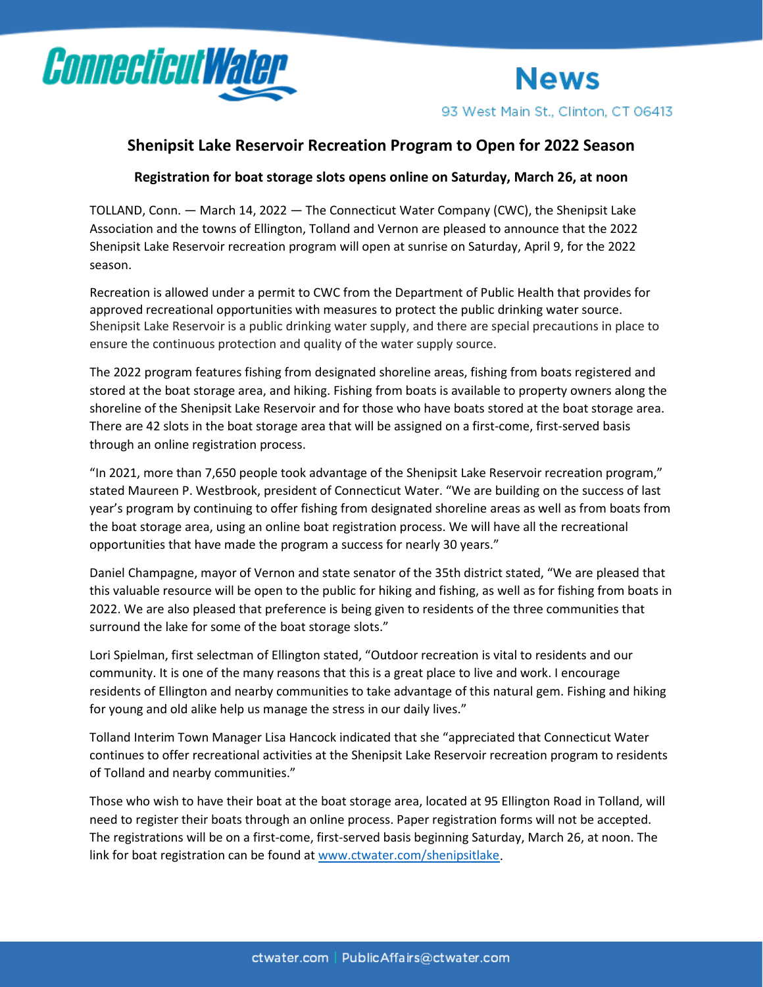

**News** 93 West Main St., Clinton, CT 06413

## **Shenipsit Lake Reservoir Recreation Program to Open for 2022 Season**

## **Registration for boat storage slots opens online on Saturday, March 26, at noon**

TOLLAND, Conn. — March 14, 2022 — The Connecticut Water Company (CWC), the Shenipsit Lake Association and the towns of Ellington, Tolland and Vernon are pleased to announce that the 2022 Shenipsit Lake Reservoir recreation program will open at sunrise on Saturday, April 9, for the 2022 season.

Recreation is allowed under a permit to CWC from the Department of Public Health that provides for approved recreational opportunities with measures to protect the public drinking water source. Shenipsit Lake Reservoir is a public drinking water supply, and there are special precautions in place to ensure the continuous protection and quality of the water supply source.

The 2022 program features fishing from designated shoreline areas, fishing from boats registered and stored at the boat storage area, and hiking. Fishing from boats is available to property owners along the shoreline of the Shenipsit Lake Reservoir and for those who have boats stored at the boat storage area. There are 42 slots in the boat storage area that will be assigned on a first-come, first-served basis through an online registration process.

"In 2021, more than 7,650 people took advantage of the Shenipsit Lake Reservoir recreation program," stated Maureen P. Westbrook, president of Connecticut Water. "We are building on the success of last year's program by continuing to offer fishing from designated shoreline areas as well as from boats from the boat storage area, using an online boat registration process. We will have all the recreational opportunities that have made the program a success for nearly 30 years."

Daniel Champagne, mayor of Vernon and state senator of the 35th district stated, "We are pleased that this valuable resource will be open to the public for hiking and fishing, as well as for fishing from boats in 2022. We are also pleased that preference is being given to residents of the three communities that surround the lake for some of the boat storage slots."

Lori Spielman, first selectman of Ellington stated, "Outdoor recreation is vital to residents and our community. It is one of the many reasons that this is a great place to live and work. I encourage residents of Ellington and nearby communities to take advantage of this natural gem. Fishing and hiking for young and old alike help us manage the stress in our daily lives."

Tolland Interim Town Manager Lisa Hancock indicated that she "appreciated that Connecticut Water continues to offer recreational activities at the Shenipsit Lake Reservoir recreation program to residents of Tolland and nearby communities."

Those who wish to have their boat at the boat storage area, located at 95 Ellington Road in Tolland, will need to register their boats through an online process. Paper registration forms will not be accepted. The registrations will be on a first-come, first-served basis beginning Saturday, March 26, at noon. The link for boat registration can be found at [www.ctwater.com/shenipsitlake.](http://www.ctwater.com/shenipsitlake)